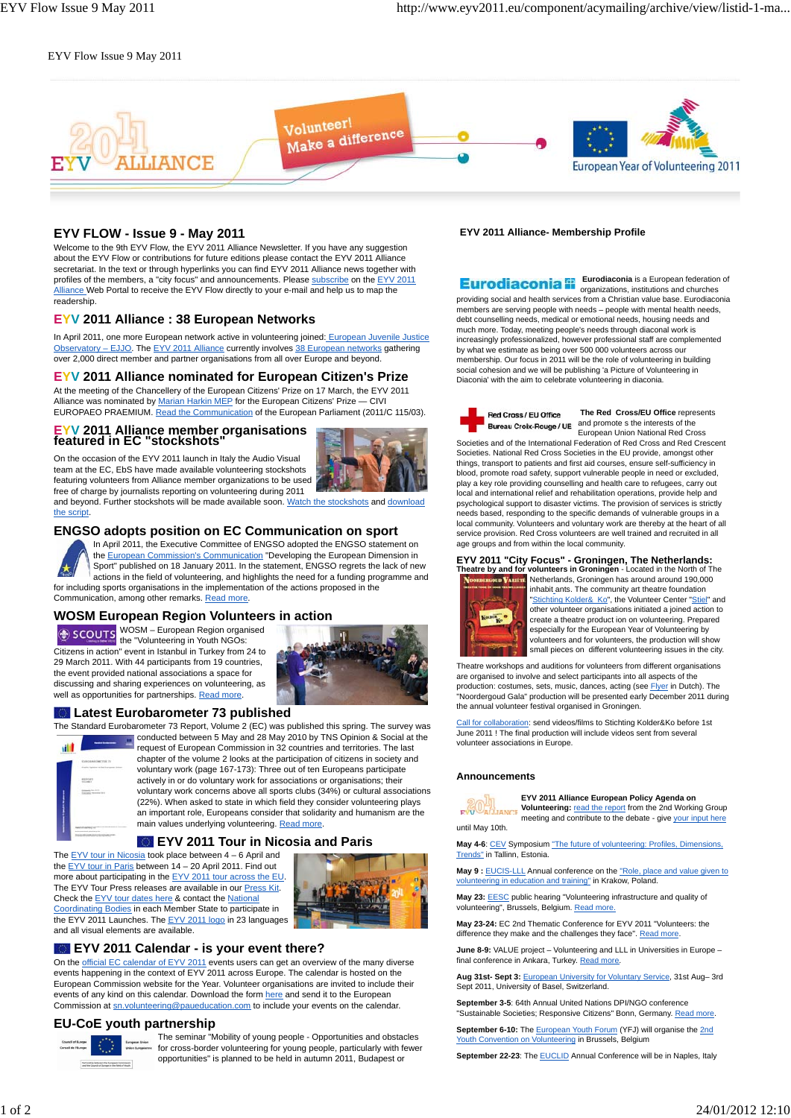#### EYV Flow Issue 9 May 2011



# **EYV FLOW - Issue 9 - May 2011**

Welcome to the 9th EYV Flow, the EYV 2011 Alliance Newsletter. If you have any suggestion about the EYV Flow or contributions for future editions please contact the EYV 2011 Alliance secretariat. In the text or through hyperlinks you can find EYV 2011 Alliance news together with profiles of the members, a "city focus" and announcements. Please subscribe on the EYV 2011 Alliance Web Portal to receive the EYV Flow directly to your e-mail and help us to map the readership.

### **EYV 2011 Alliance : 38 European Networks**

In April 2011, one more European network active in volunteering joined: European Juvenile Justice Observatory - EJJO. The EYV 2011 Alliance currently involves 38 European networks gathering over 2,000 direct member and partner organisations from all over Europe and beyond.

### **EYV 2011 Alliance nominated for European Citizen's Prize**

At the meeting of the Chancellery of the European Citizens' Prize on 17 March, the EYV 2011 Alliance was nominated by Marian Harkin MEP for the European Citizens' Prize - CIVI EUROPAEO PRAEMIUM. Read the Communication of the European Parliament (2011/C 115/03).

# **EYV 2011 Alliance member organisations featured in EC "stockshots**" On the occasion of the EYV 2011 launch in Italy the Audio Visual



team at the EC, EbS have made available volunteering stockshots featuring volunteers from Alliance member organizations to be used free of charge by journalists reporting on volunteering during 2011 and beyond. Further stockshots will be made available soon. Watch the stockshots and download the script.

### **ENGSO adopts position on EC Communication on sport**



In April 2011, the Executive Committee of ENGSO adopted the ENGSO statement on the European Commission's Communication "Developing the European Dimension in Sport" published on 18 January 2011. In the statement, ENGSO regrets the lack of new actions in the field of volunteering, and highlights the need for a funding programme and for including sports organisations in the implementation of the actions proposed in the Communication, among other remarks. Read more.

# **WOSM European Region Volunteers in action**

WOSM – European Region organised the "Volunteering in Youth NGOs: Citizens in action" event in Istanbul in Turkey from 24 to 29 March 2011. With 44 participants from 19 countries, the event provided national associations a space for discussing and sharing experiences on volunteering, as well as opportunities for partnerships. Read more.



#### **Latest Eurobarometer 73 published**

The Standard Eurobarometer 73 Report, Volume 2 (EC) was published this spring. The survey was conducted between 5 May and 28 May 2010 by TNS Opinion & Social at the



request of European Commission in 32 countries and territories. The last chapter of the volume 2 looks at the participation of citizens in society and voluntary work (page 167-173): Three out of ten Europeans participate actively in or do voluntary work for associations or organisations; their voluntary work concerns above all sports clubs (34%) or cultural associations (22%). When asked to state in which field they consider volunteering plays an important role, Europeans consider that solidarity and humanism are the main values underlying volunteering. Read more.

### **EYV 2011 Tour in Nicosia and Paris**





# **EYV 2011 Calendar - is your event there?**

On the official EC calendar of EYV 2011 events users can get an overview of the many diverse events happening in the context of EYV 2011 across Europe. The calendar is hosted on the European Commission website for the Year. Volunteer organisations are invited to include their events of any kind on this calendar. Download the form here and send it to the European Commission at sn.volunteering@paueducation.com to include your events on the calendar.

#### **EU-CoE youth partnership**



The seminar "Mobility of young people - Opportunities and obstacles for cross-border volunteering for young people, particularly with fewer opportunities" is planned to be held in autumn 2011, Budapest or

#### **EYV 2011 Alliance- Membership Profile**

 **Eurodiaconia** is a European federation of organizations, institutions and churches providing social and health services from a Christian value base. Eurodiaconia members are serving people with needs – people with mental health needs, debt counselling needs, medical or emotional needs, housing needs and much more. Today, meeting people's needs through diaconal work is increasingly professionalized, however professional staff are complemented by what we estimate as being over 500 000 volunteers across our membership. Our focus in 2011 will be the role of volunteering in building social cohesion and we will be publishing 'a Picture of Volunteering in Diaconia' with the aim to celebrate volunteering in diaconia.



**The Red Cross/EU Office** represents and promote s the interests of the European Union National Red Cross

Societies and of the International Federation of Red Cross and Red Crescent Societies. National Red Cross Societies in the EU provide, amongst other things, transport to patients and first aid courses, ensure self-sufficiency in blood, promote road safety, support vulnerable people in need or excluded, play a key role providing counselling and health care to refugees, carry out local and international relief and rehabilitation operations, provide help and psychological support to disaster victims. The provision of services is strictly needs based, responding to the specific demands of vulnerable groups in a local community. Volunteers and voluntary work are thereby at the heart of all service provision. Red Cross volunteers are well trained and recruited in all age groups and from within the local community.

# **EYV 2011 "City Focus" - Groningen, The Netherlands: Theatre by and for volunteers in Groningen** - Located in the North of The



Netherlands, Groningen has around around 190,000 inhabit ants. The community art theatre foundation "Stichting Kolder& Ko", the Volunteer Center "Stiel" and other volunteer organisations initiated a joined action to create a theatre product ion on volunteering. Prepared especially for the European Year of Volunteering by volunteers and for volunteers, the production will show small pieces on different volunteering issues in the city.

Theatre workshops and auditions for volunteers from different organisations are organised to involve and select participants into all aspects of the production: costumes, sets, music, dances, acting (see Flyer in Dutch). The "Noordergoud Gala" production will be presented early December 2011 during the annual volunteer festival organised in Groningen.

Call for collaboration: send videos/films to Stichting Kolder&Ko before 1st June 2011 ! The final production will include videos sent from several volunteer associations in Europe.

#### **Announcements**



**Volunteering:** read the report from the 2nd Working Group meeting and contribute to the debate - give your input here until May 10th.

May 4-6: CEV Symposium "The future of volunteering: Profiles, Dimensions, Trends" in Tallinn, Estonia.

**May 9 :** EUCIS-LLL Annual conference on the "Role, place and value given to volunteering in education and training" in Krakow, Poland.

**May 23:** EESC public hearing "Volunteering infrastructure and quality of volunteering", Brussels, Belgium. Read more.

**May 23-24:** EC 2nd Thematic Conference for EYV 2011 "Volunteers: the difference they make and the challenges they face". Read more

**June 8-9:** VALUE project – Volunteering and LLL in Universities in Europe – final conference in Ankara, Turkey. Read more.

**Aug 31st- Sept 3:** European University for Voluntary Service, 31st Aug– 3rd Sept 2011, University of Basel, Switzerland.

**September 3-5**: 64th Annual United Nations DPI/NGO conference tainable Societies; Responsive Citizens" Bonn, Germany. Read more.

**September 6-10:** The **European Youth Forum** (YFJ) will organise the 2nd Youth Convention on Volunteering in Brussels, Belgium

**September 22-23:** The **EUCLID** Annual Conference will be in Naples, Italy